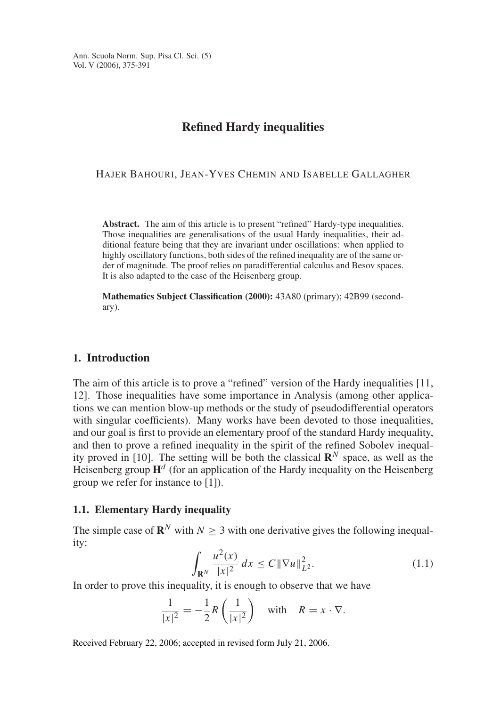Ann. Scuola Norm. Sup. Pisa Cl. Sci. (5) Vol. V (2006), 375-391

## **Refined Hardy inequalities**

HAJER BAHOURI, JEAN-YVES CHEMIN AND ISABELLE GALLAGHER

**Abstract.** The aim of this article is to present "refined" Hardy-type inequalities. Those inequalities are generalisations of the usual Hardy inequalities, their additional feature being that they are invariant under oscillations: when applied to highly oscillatory functions, both sides of the refined inequality are of the same order of magnitude. The proof relies on paradifferential calculus and Besov spaces. It is also adapted to the case of the Heisenberg group.

**Mathematics Subject Classification (2000):** 43A80 (primary); 42B99 (secondary).

## **1. Introduction**

The aim of this article is to prove a "refined" version of the Hardy inequalities [11, 12]. Those inequalities have some importance in Analysis (among other applications we can mention blow-up methods or the study of pseudodifferential operators with singular coefficients). Many works have been devoted to those inequalities, and our goal is first to provide an elementary proof of the standard Hardy inequality, and then to prove a refined inequality in the spirit of the refined Sobolev inequality proved in [10]. The setting will be both the classical  $\mathbb{R}^N$  space, as well as the Heisenberg group  $H<sup>d</sup>$  (for an application of the Hardy inequality on the Heisenberg group we refer for instance to [1]).

## **1.1. Elementary Hardy inequality**

The simple case of  $\mathbb{R}^N$  with  $N > 3$  with one derivative gives the following inequality:

$$
\int_{\mathbf{R}^N} \frac{u^2(x)}{|x|^2} dx \le C \| \nabla u \|_{L^2}^2.
$$
\n(1.1)

In order to prove this inequality, it is enough to observe that we have

$$
\frac{1}{|x|^2} = -\frac{1}{2}R\left(\frac{1}{|x|^2}\right) \quad \text{with} \quad R = x \cdot \nabla.
$$

Received February 22, 2006; accepted in revised form July 21, 2006.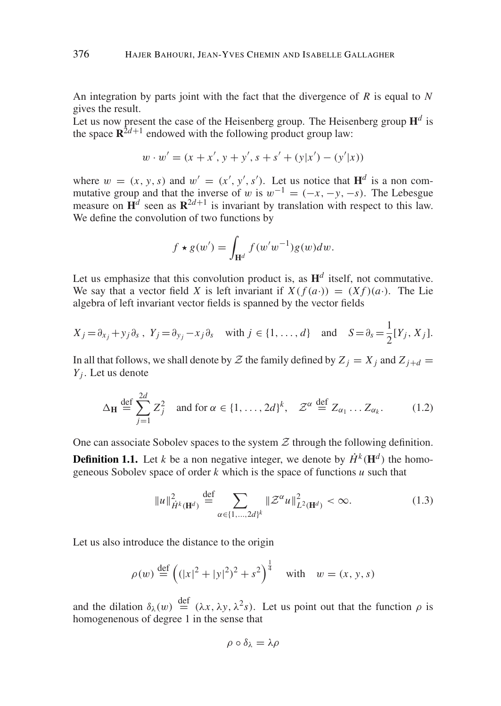An integration by parts joint with the fact that the divergence of *R* is equal to *N* gives the result.

Let us now present the case of the Heisenberg group. The Heisenberg group  $\mathbf{H}^d$  is the space  $\mathbb{R}^{2d+1}$  endowed with the following product group law:

$$
w \cdot w' = (x + x', y + y', s + s' + (y|x') - (y'|x))
$$

where  $w = (x, y, s)$  and  $w' = (x', y', s')$ . Let us notice that  $\mathbf{H}^d$  is a non commutative group and that the inverse of w is  $w^{-1} = (-x, -y, -s)$ . The Lebesgue measure on  $H^d$  seen as  $\mathbb{R}^{2d+1}$  is invariant by translation with respect to this law. We define the convolution of two functions by

$$
f \star g(w') = \int_{\mathbf{H}^d} f(w'w^{-1})g(w)dw.
$$

Let us emphasize that this convolution product is, as  $H^d$  itself, not commutative. We say that a vector field *X* is left invariant if  $X(f(a)) = (Xf)(a)$ . The Lie algebra of left invariant vector fields is spanned by the vector fields

$$
X_j = \partial_{x_j} + y_j \partial_s, \ Y_j = \partial_{y_j} - x_j \partial_s \quad \text{with } j \in \{1, \dots, d\} \quad \text{and} \quad S = \partial_s = \frac{1}{2} [Y_j, X_j].
$$

In all that follows, we shall denote by  $Z$  the family defined by  $Z_i = X_i$  and  $Z_{i+d} =$ *Yj* . Let us denote

$$
\Delta_{\mathbf{H}} \stackrel{\text{def}}{=} \sum_{j=1}^{2d} Z_j^2 \quad \text{and for } \alpha \in \{1, \dots, 2d\}^k, \quad \mathcal{Z}^{\alpha} \stackrel{\text{def}}{=} Z_{\alpha_1} \dots Z_{\alpha_k}.
$$
 (1.2)

One can associate Sobolev spaces to the system  $\mathcal Z$  through the following definition.

**Definition 1.1.** Let *k* be a non negative integer, we denote by  $\dot{H}^k(\mathbf{H}^d)$  the homogeneous Sobolev space of order *k* which is the space of functions *u* such that

$$
||u||_{\dot{H}^k(\mathbf{H}^d)}^2 \stackrel{\text{def}}{=} \sum_{\alpha \in \{1, ..., 2d\}^k} ||\mathcal{Z}^{\alpha}u||_{L^2(\mathbf{H}^d)}^2 < \infty.
$$
 (1.3)

Let us also introduce the distance to the origin

$$
\rho(w) \stackrel{\text{def}}{=} \left( (|x|^2 + |y|^2)^2 + s^2 \right)^{\frac{1}{4}} \quad \text{with} \quad w = (x, y, s)
$$

and the dilation  $\delta_{\lambda}(w) \stackrel{\text{def}}{=} (\lambda x, \lambda y, \lambda^2 s)$ . Let us point out that the function  $\rho$  is homogenenous of degree 1 in the sense that

$$
\rho\circ\delta_\lambda=\lambda\rho
$$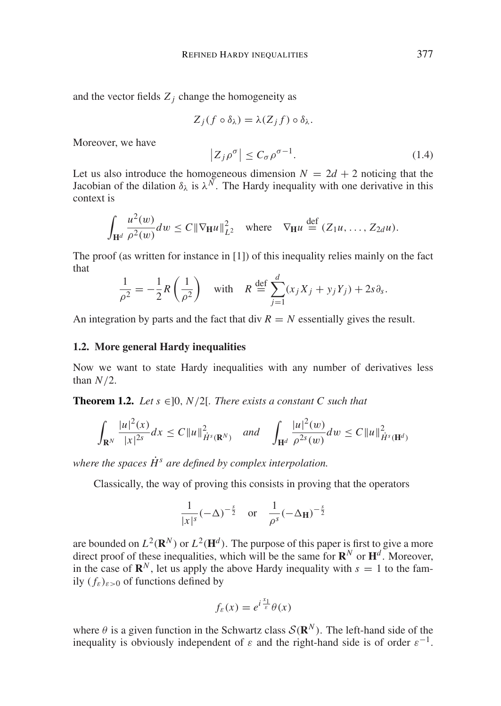and the vector fields  $Z_i$  change the homogeneity as

$$
Z_j(f\circ\delta_\lambda)=\lambda(Z_jf)\circ\delta_\lambda.
$$

Moreover, we have

$$
\left|Z_j \rho^{\sigma}\right| \le C_{\sigma} \rho^{\sigma-1}.
$$
 (1.4)

Let us also introduce the homogeneous dimension  $N = 2d + 2$  noticing that the Jacobian of the dilation  $\delta_{\lambda}$  is  $\lambda^N$ . The Hardy inequality with one derivative in this context is

$$
\int_{\mathbf{H}^d} \frac{u^2(w)}{\rho^2(w)} dw \leq C \|\nabla_{\mathbf{H}} u\|_{L^2}^2 \quad \text{where} \quad \nabla_{\mathbf{H}} u \stackrel{\text{def}}{=} (Z_1 u, \dots, Z_{2d} u).
$$

The proof (as written for instance in [1]) of this inequality relies mainly on the fact that

$$
\frac{1}{\rho^2} = -\frac{1}{2}R\left(\frac{1}{\rho^2}\right) \quad \text{with} \quad R \stackrel{\text{def}}{=} \sum_{j=1}^d (x_j X_j + y_j Y_j) + 2s \partial_s.
$$

An integration by parts and the fact that div  $R = N$  essentially gives the result.

## **1.2. More general Hardy inequalities**

Now we want to state Hardy inequalities with any number of derivatives less than *N*/2.

**Theorem 1.2.** *Let*  $s \in ]0, N/2[$ *. There exists a constant C such that* 

$$
\int_{\mathbf{R}^N} \frac{|u|^2(x)}{|x|^{2s}} dx \le C \|u\|_{\dot{H}^s(\mathbf{R}^N)}^2 \quad \text{and} \quad \int_{\mathbf{H}^d} \frac{|u|^2(w)}{\rho^{2s}(w)} dw \le C \|u\|_{\dot{H}^s(\mathbf{H}^d)}^2
$$

*where the spaces*  $\dot{H}^s$  *are defined by complex interpolation.* 

Classically, the way of proving this consists in proving that the operators

$$
\frac{1}{|x|^s}(-\Delta)^{-\frac{s}{2}} \quad \text{or} \quad \frac{1}{\rho^s}(-\Delta_{\mathbf{H}})^{-\frac{s}{2}}
$$

are bounded on  $L^2(\mathbf{R}^N)$  or  $L^2(\mathbf{H}^d)$ . The purpose of this paper is first to give a more direct proof of these inequalities, which will be the same for  $\mathbb{R}^N$  or  $\mathbb{H}^d$ . Moreover, in the case of  $\mathbb{R}^N$ , let us apply the above Hardy inequality with  $s = 1$  to the family  $(f_{\varepsilon})_{\varepsilon>0}$  of functions defined by

$$
f_{\varepsilon}(x) = e^{i\frac{x_1}{\varepsilon}}\theta(x)
$$

where  $\theta$  is a given function in the Schwartz class  $\mathcal{S}(\mathbf{R}^N)$ . The left-hand side of the inequality is obviously independent of  $\varepsilon$  and the right-hand side is of order  $\varepsilon^{-1}$ .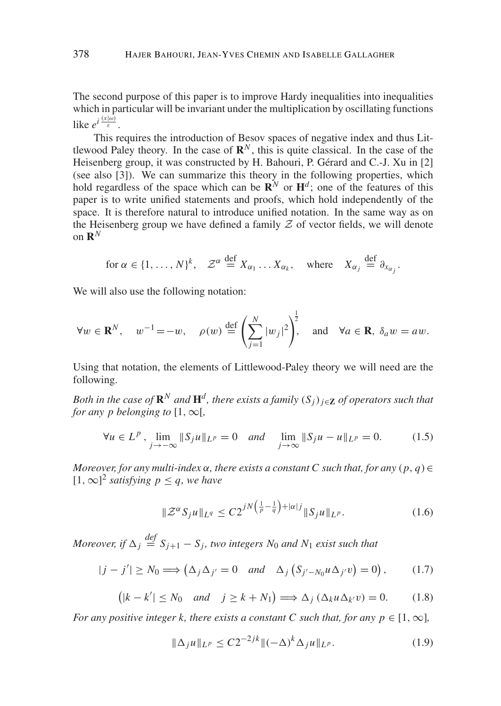The second purpose of this paper is to improve Hardy inequalities into inequalities which in particular will be invariant under the multiplication by oscillating functions like  $e^{i\frac{(x|\omega)}{\varepsilon}}$ .

This requires the introduction of Besov spaces of negative index and thus Littlewood Paley theory. In the case of  $\mathbb{R}^N$ , this is quite classical. In the case of the Heisenberg group, it was constructed by H. Bahouri, P. Gérard and C.-J. Xu in [2] (see also [3]). We can summarize this theory in the following properties, which hold regardless of the space which can be  $\mathbb{R}^N$  or  $\mathbb{H}^d$ ; one of the features of this paper is to write unified statements and proofs, which hold independently of the space. It is therefore natural to introduce unified notation. In the same way as on the Heisenberg group we have defined a family  $Z$  of vector fields, we will denote on  $\mathbb{R}^N$ 

for 
$$
\alpha \in \{1, ..., N\}^k
$$
,  $\mathcal{Z}^{\alpha} \stackrel{\text{def}}{=} X_{\alpha_1} ... X_{\alpha_k}$ , where  $X_{\alpha_j} \stackrel{\text{def}}{=} \partial_{x_{\alpha_j}}$ .

We will also use the following notation:

$$
\forall w \in \mathbf{R}^N, \quad w^{-1} = -w, \quad \rho(w) \stackrel{\text{def}}{=} \left(\sum_{j=1}^N |w_j|^2\right)^{\frac{1}{2}}, \quad \text{and} \quad \forall a \in \mathbf{R}, \ \delta_a w = aw.
$$

Using that notation, the elements of Littlewood-Paley theory we will need are the following.

*Both in the case of*  $\mathbb{R}^N$  *and*  $\mathbb{H}^d$ *, there exists a family*  $(S_i)_{i \in \mathbb{Z}}$  *of operators such that for any p belonging to*  $[1, \infty)$ .

$$
\forall u \in L^{p}, \lim_{j \to -\infty} \|S_{j}u\|_{L^{p}} = 0 \quad and \quad \lim_{j \to \infty} \|S_{j}u - u\|_{L^{p}} = 0. \tag{1.5}
$$

*Moreover, for any multi-index*  $\alpha$ *, there exists a constant C such that, for any*  $(p, q) \in$ [1, ∞]<sup>2</sup> *satisfying*  $p \le q$ *, we have* 

$$
\|\mathcal{Z}^{\alpha} S_j u\|_{L^q} \le C 2^{jN\left(\frac{1}{p} - \frac{1}{q}\right) + |\alpha|j} \|S_j u\|_{L^p}.
$$
 (1.6)

*Moreover, if*  $\Delta_j \stackrel{def}{=} S_{j+1} - S_j$ , two integers  $N_0$  and  $N_1$  exist such that

$$
|j - j'| \ge N_0 \Longrightarrow \left(\Delta_j \Delta_{j'} = 0 \quad \text{and} \quad \Delta_j \left(S_{j'-N_0} u \Delta_{j'} v\right) = 0\right),\tag{1.7}
$$

$$
(|k - k'| \le N_0 \quad and \quad j \ge k + N_1) \Longrightarrow \Delta_j (\Delta_k u \Delta_{k'} v) = 0. \tag{1.8}
$$

*For any positive integer k, there exists a constant C such that, for any p*  $\in$  [1,  $\infty$ ]*,* 

$$
\|\Delta_j u\|_{L^p} \le C2^{-2jk} \|(-\Delta)^k \Delta_j u\|_{L^p}.
$$
\n(1.9)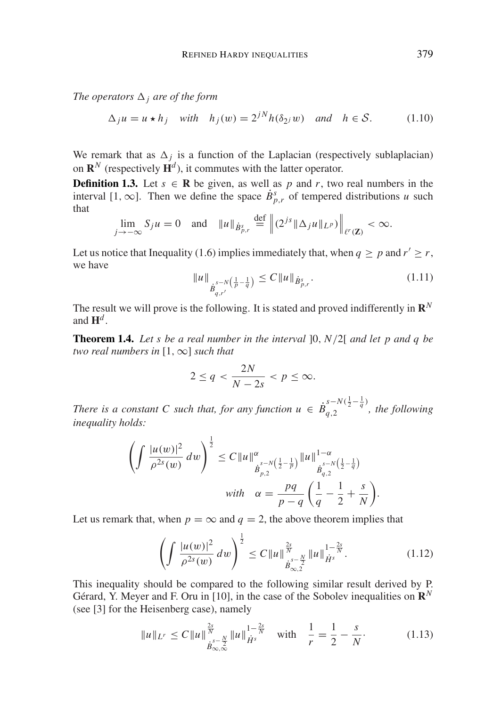*The operators*  $\Delta_i$  *are of the form* 

$$
\Delta_j u = u \star h_j \quad \text{with} \quad h_j(w) = 2^{jN} h(\delta_{2j} w) \quad \text{and} \quad h \in \mathcal{S}.
$$
 (1.10)

We remark that as  $\Delta_j$  is a function of the Laplacian (respectively sublaplacian) on  $\mathbb{R}^N$  (respectively  $\mathbb{H}^d$ ), it commutes with the latter operator.

**Definition 1.3.** Let  $s \in \mathbb{R}$  be given, as well as p and r, two real numbers in the interval [1, ∞]. Then we define the space  $\dot{B}_{p,r}^s$  of tempered distributions *u* such that

$$
\lim_{j \to -\infty} S_j u = 0 \text{ and } \|u\|_{\dot{B}_{p,r}^s} \stackrel{\text{def}}{=} \left\| (2^{js} \|\Delta_j u\|_{L^p}) \right\|_{\ell^r(\mathbf{Z})} < \infty.
$$

Let us notice that Inequality (1.6) implies immediately that, when  $q \ge p$  and  $r' \ge r$ , we have

$$
||u||_{\dot{B}_{q,r'}^{s-N\left(\frac{1}{p}-\frac{1}{q}\right)}} \le C||u||_{\dot{B}_{p,r}^s}.
$$
\n(1.11)

The result we will prove is the following. It is stated and proved indifferently in  $\mathbb{R}^N$ and  $\mathbf{H}^d$ 

**Theorem 1.4.** *Let s be a real number in the interval* ]0, *N*/2[ *and let p and q be two real numbers in* [1,∞] *such that*

$$
2 \le q < \frac{2N}{N-2s} < p \le \infty.
$$

*There is a constant C such that, for any function*  $u \in \dot{B}_{q,2}^{s-N(\frac{1}{2}-\frac{1}{q})}$ *, the following inequality holds:*

$$
\left(\int \frac{|u(w)|^2}{\rho^{2s}(w)} dw\right)^{\frac{1}{2}} \leq C \|u\|_{\dot{B}_{p,2}^{s-N\left(\frac{1}{2}-\frac{1}{p}\right)}}^{\alpha} \|u\|_{\dot{B}_{q,2}^{s-N\left(\frac{1}{2}-\frac{1}{q}\right)}}^{1-\alpha}
$$
  
with  $\alpha = \frac{pq}{p-q} \left(\frac{1}{q} - \frac{1}{2} + \frac{s}{N}\right)$ 

Let us remark that, when  $p = \infty$  and  $q = 2$ , the above theorem implies that

$$
\left(\int \frac{|u(w)|^2}{\rho^{2s}(w)}\,dw\right)^{\frac{1}{2}} \leq C\|u\|_{\dot{B}_{\infty,2}^{s-\frac{N}{2}}}\|u\|_{\dot{H}^s}^{1-\frac{2s}{N}}.\tag{1.12}
$$

.

This inequality should be compared to the following similar result derived by P. Gérard, Y. Meyer and F. Oru in [10], in the case of the Sobolev inequalities on  $\mathbb{R}^N$ (see [3] for the Heisenberg case), namely

$$
||u||_{L^r} \le C||u||_{\dot{B}_{\infty,\infty}^{\frac{2s}{s}-\frac{N}{2}}||u||_{\dot{H}^s}^{1-\frac{2s}{N}} \quad \text{with} \quad \frac{1}{r} = \frac{1}{2} - \frac{s}{N}.
$$
 (1.13)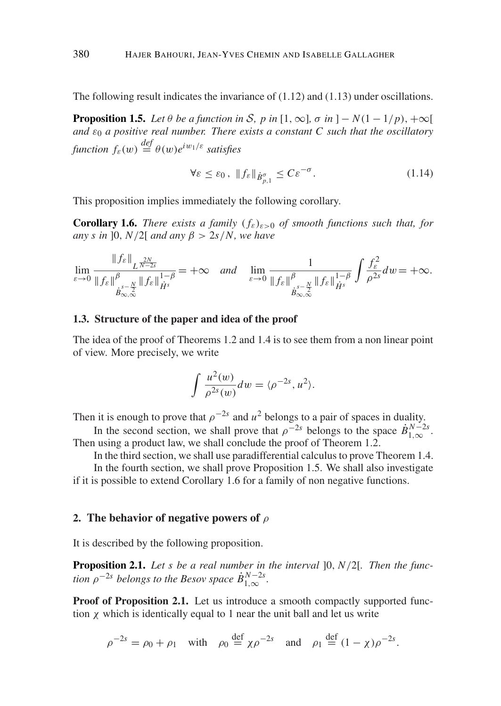The following result indicates the invariance of (1.12) and (1.13) under oscillations.

**Proposition 1.5.** *Let*  $\theta$  *be a function in* S, p *in*  $[1, \infty]$ ,  $\sigma$  *in*  $]-N(1-1/p)$ ,  $+\infty[$ *and*  $\varepsilon_0$  *a positive real number. There exists a constant C such that the oscillatory function*  $f_{\varepsilon}(w) \stackrel{def}{=} \theta(w)e^{iw_1/\varepsilon}$  *satisfies* 

$$
\forall \varepsilon \le \varepsilon_0 \,, \ \|f_{\varepsilon}\|_{\dot{B}^{\sigma}_{p,1}} \le C\varepsilon^{-\sigma} \,. \tag{1.14}
$$

This proposition implies immediately the following corollary.

**Corollary 1.6.** *There exists a family*  $(f_{\varepsilon})_{\varepsilon>0}$  *of smooth functions such that, for any s in* 10,  $N/2$ [ *and any*  $\beta > 2s/N$ , *we have* 

$$
\lim_{\varepsilon \to 0} \frac{\|f_{\varepsilon}\|_{L^{\frac{2N}{N-2s}}}}{\|f_{\varepsilon}\|_{\dot{H}^{s}}^{\beta}} = +\infty \quad \text{and} \quad \lim_{\varepsilon \to 0} \frac{1}{\|f_{\varepsilon}\|_{\dot{H}^{s}}^{\beta}} \int \frac{f_{\varepsilon}^{2}}{\rho^{2s}} dv = +\infty.
$$

## **1.3. Structure of the paper and idea of the proof**

The idea of the proof of Theorems 1.2 and 1.4 is to see them from a non linear point of view. More precisely, we write

$$
\int \frac{u^2(w)}{\rho^{2s}(w)} dw = \langle \rho^{-2s}, u^2 \rangle.
$$

Then it is enough to prove that  $\rho^{-2s}$  and  $u^2$  belongs to a pair of spaces in duality.

In the second section, we shall prove that  $\rho^{-2s}$  belongs to the space  $\dot{B}_{1,\infty}^{N-2s}$ . Then using a product law, we shall conclude the proof of Theorem 1.2.

In the third section, we shall use paradifferential calculus to prove Theorem 1.4.

In the fourth section, we shall prove Proposition 1.5. We shall also investigate if it is possible to extend Corollary 1.6 for a family of non negative functions.

## **2. The behavior of negative powers of** ρ

It is described by the following proposition.

**Proposition 2.1.** *Let s be a real number in the interval* ]0, *N*/2[*. Then the function*  $\rho^{-2s}$  *belongs to the Besov space*  $\dot{B}_{1,\infty}^{N-2s}$ .

**Proof of Proposition 2.1.** Let us introduce a smooth compactly supported function  $\chi$  which is identically equal to 1 near the unit ball and let us write

$$
\rho^{-2s} = \rho_0 + \rho_1 \quad \text{with} \quad \rho_0 \stackrel{\text{def}}{=} \chi \rho^{-2s} \quad \text{and} \quad \rho_1 \stackrel{\text{def}}{=} (1 - \chi) \rho^{-2s}.
$$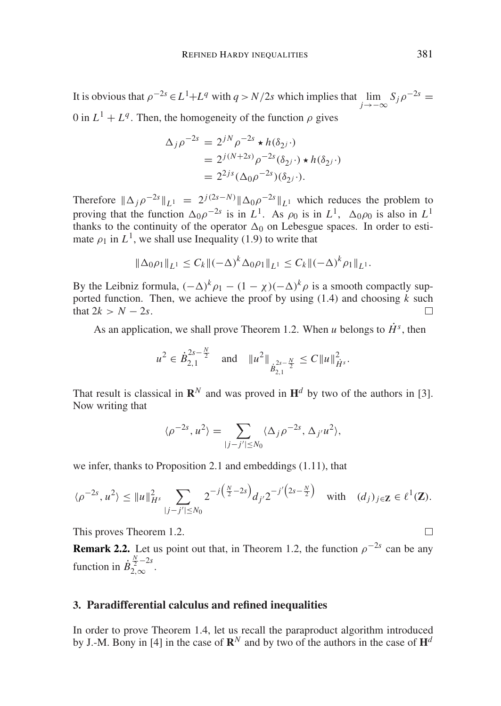It is obvious that  $\rho^{-2s} \in L^1 + L^q$  with  $q > N/2s$  which implies that  $\lim_{j \to -\infty} S_j \rho^{-2s} =$ 0 in  $L^1 + L^q$ . Then, the homogeneity of the function  $\rho$  gives

$$
\Delta_j \rho^{-2s} = 2^{jN} \rho^{-2s} \star h(\delta_{2^j} \cdot)
$$
  
=  $2^{j(N+2s)} \rho^{-2s} (\delta_{2^j} \cdot) \star h(\delta_{2^j} \cdot)$   
=  $2^{2js} (\Delta_0 \rho^{-2s}) (\delta_{2^j} \cdot).$ 

Therefore  $\|\Delta_j \rho^{-2s}\|_{L^1} = 2^{j(2s-N)} \|\Delta_0 \rho^{-2s}\|_{L^1}$  which reduces the problem to proving that the function  $\Delta_0 \rho^{-2s}$  is in *L*<sup>1</sup>. As  $\rho_0$  is in *L*<sup>1</sup>,  $\Delta_0 \rho_0$  is also in *L*<sup>1</sup> thanks to the continuity of the operator  $\Delta_0$  on Lebesgue spaces. In order to estimate  $\rho_1$  in  $L^1$ , we shall use Inequality (1.9) to write that

$$
\|\Delta_0\rho_1\|_{L^1}\leq C_k\|(-\Delta)^k\Delta_0\rho_1\|_{L^1}\leq C_k\|(-\Delta)^k\rho_1\|_{L^1}.
$$

By the Leibniz formula,  $(-\Delta)^k \rho_1 - (1 - \chi)(-\Delta)^k \rho$  is a smooth compactly supported function. Then, we achieve the proof by using (1.4) and choosing *k* such that  $2k > N - 2s$ .

As an application, we shall prove Theorem 1.2. When *u* belongs to  $\dot{H}^s$ , then

$$
u^2 \in \dot{B}_{2,1}^{2s-\frac{N}{2}}
$$
 and  $||u^2||_{\dot{B}_{2,1}^{2s-\frac{N}{2}}} \leq C||u||_{\dot{H}^s}^2$ .

That result is classical in  $\mathbb{R}^N$  and was proved in  $\mathbb{H}^d$  by two of the authors in [3]. Now writing that

$$
\langle \rho^{-2s}, u^2 \rangle = \sum_{|j-j'|\leq N_0} \langle \Delta_j \rho^{-2s}, \Delta_{j'} u^2 \rangle,
$$

we infer, thanks to Proposition 2.1 and embeddings (1.11), that

$$
\langle \rho^{-2s}, u^2 \rangle \le \|u\|_{H^s}^2 \sum_{|j-j'| \le N_0} 2^{-j(\frac{N}{2}-2s)} d_{j'} 2^{-j'\left(2s-\frac{N}{2}\right)} \quad \text{with} \quad (d_j)_{j \in \mathbf{Z}} \in \ell^1(\mathbf{Z}).
$$

This proves Theorem 1.2.

**Remark 2.2.** Let us point out that, in Theorem 1.2, the function  $\rho^{-2s}$  can be any function in  $\dot{B}_{2,\infty}^{\frac{N}{2}-2s}$ .

## **3. Paradifferential calculus and refined inequalities**

In order to prove Theorem 1.4, let us recall the paraproduct algorithm introduced by J.-M. Bony in [4] in the case of  $\mathbb{R}^N$  and by two of the authors in the case of  $\mathbb{H}^d$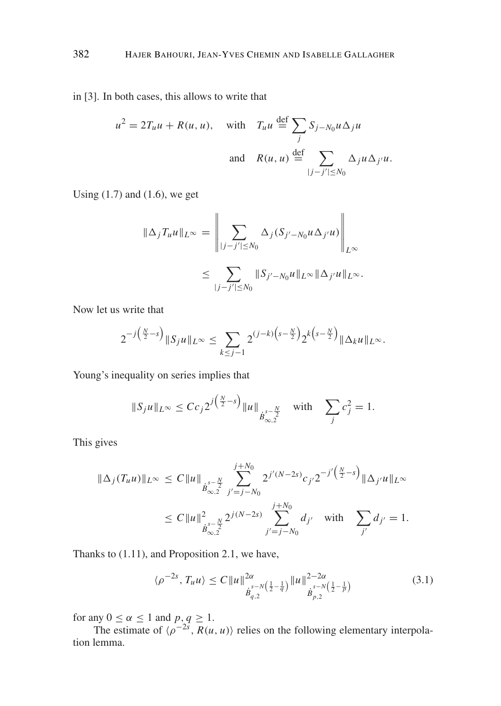in [3]. In both cases, this allows to write that

$$
u^{2} = 2T_{u}u + R(u, u), \text{ with } T_{u}u \stackrel{\text{def}}{=} \sum_{j} S_{j-N_{0}}u\Delta_{j}u
$$
  
and 
$$
R(u, u) \stackrel{\text{def}}{=} \sum_{|j-j'|\leq N_{0}} \Delta_{j}u\Delta_{j'}u.
$$

Using  $(1.7)$  and  $(1.6)$ , we get

$$
\|\Delta_j T_u u\|_{L^\infty} = \left\|\sum_{|j-j'|\leq N_0} \Delta_j (S_{j'-N_0} u \Delta_{j'} u)\right\|_{L^\infty}
$$
  

$$
\leq \sum_{|j-j'|\leq N_0} \|S_{j'-N_0} u\|_{L^\infty} \|\Delta_{j'} u\|_{L^\infty}.
$$

Now let us write that

$$
2^{-j(\frac{N}{2}-s)}\|S_j u\|_{L^{\infty}} \leq \sum_{k\leq j-1} 2^{(j-k)\left(s-\frac{N}{2}\right)} 2^{k\left(s-\frac{N}{2}\right)} \|\Delta_k u\|_{L^{\infty}}.
$$

Young's inequality on series implies that

$$
||S_j u||_{L^{\infty}} \leq C c_j 2^{j(\frac{N}{2}-s)} ||u||_{\dot{B}_{\infty,2}^{s-\frac{N}{2}}}
$$
 with  $\sum_j c_j^2 = 1$ .

This gives

$$
\|\Delta_j(T_u u)\|_{L^\infty} \le C \|u\|_{\dot{B}_{\infty,2}^{s-\frac{N}{2}}} \sum_{j'=j-N_0}^{j+N_0} 2^{j'(N-2s)} c_{j'} 2^{-j'(\frac{N}{2}-s)} \|\Delta_{j'} u\|_{L^\infty}
$$
  

$$
\le C \|u\|_{\dot{B}_{\infty,2}^{s-\frac{N}{2}}}^2 2^{j(N-2s)} \sum_{j'=j-N_0}^{j+N_0} d_{j'} \quad \text{with} \quad \sum_{j'} d_{j'} = 1.
$$

Thanks to (1.11), and Proposition 2.1, we have,

$$
\langle \rho^{-2s}, T_u u \rangle \le C \|u\|_{\dot{B}_{q,2}^{s-N\left(\frac{1}{2}-\frac{1}{q}\right)}}^{2\alpha} \|u\|_{\dot{B}_{p,2}^{s-N\left(\frac{1}{2}-\frac{1}{p}\right)}}^{2-2\alpha} \tag{3.1}
$$

for any  $0 \le \alpha \le 1$  and  $p, q \ge 1$ .

The estimate of  $\langle \rho^{-2s}, R(u, u) \rangle$  relies on the following elementary interpolation lemma.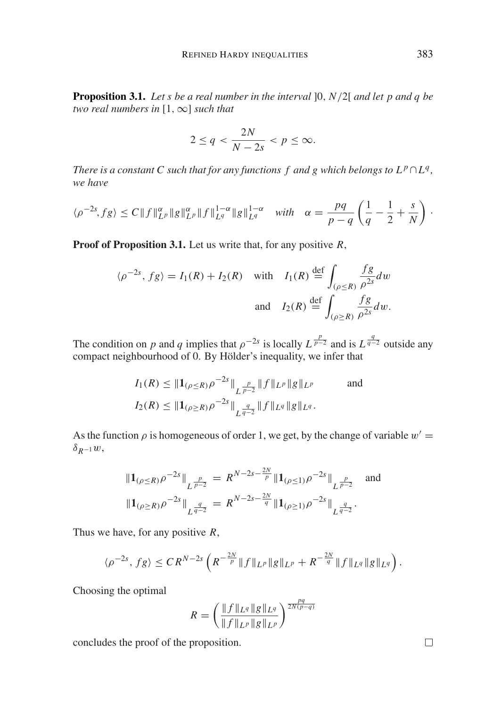**Proposition 3.1.** *Let s be a real number in the interval* ]0, *N*/2[ *and let p and q be two real numbers in* [1,∞] *such that*

$$
2 \le q < \frac{2N}{N-2s} < p \le \infty.
$$

*There is a constant C such that for any functions f and g which belongs to*  $L^p \cap L^q$ *, we have*

$$
\langle \rho^{-2s}, fg \rangle \le C \|f\|_{L^p}^{\alpha} \|g\|_{L^p}^{\alpha} \|f\|_{L^q}^{1-\alpha} \|g\|_{L^q}^{1-\alpha} \quad \text{with} \quad \alpha = \frac{pq}{p-q} \left( \frac{1}{q} - \frac{1}{2} + \frac{s}{N} \right) .
$$

**Proof of Proposition 3.1.** Let us write that, for any positive *R*,

$$
\langle \rho^{-2s}, fg \rangle = I_1(R) + I_2(R) \quad \text{with} \quad I_1(R) \stackrel{\text{def}}{=} \int_{(\rho \le R)} \frac{fg}{\rho^{2s}} dw
$$
  
and 
$$
I_2(R) \stackrel{\text{def}}{=} \int_{(\rho \ge R)} \frac{fg}{\rho^{2s}} dw.
$$

The condition on *p* and *q* implies that  $\rho^{-2s}$  is locally  $L^{\frac{p}{p-2}}$  and is  $L^{\frac{q}{q-2}}$  outside any compact neighbourhood of  $\overrightarrow{0}$ . By Hölder's inequality, we infer that

$$
I_1(R) \leq \|1_{(\rho \leq R)} \rho^{-2s}\|_{L^{\frac{p}{p-2}}} \|f\|_{L^p} \|g\|_{L^p}
$$
 and  

$$
I_2(R) \leq \|1_{(\rho \geq R)} \rho^{-2s}\|_{L^{\frac{q}{q-2}}} \|f\|_{L^q} \|g\|_{L^q}.
$$

As the function  $\rho$  is homogeneous of order 1, we get, by the change of variable  $w' =$  $\delta_{R-1}w$ ,

$$
\|\mathbf{1}_{(\rho \le R)} \rho^{-2s}\|_{L^{\frac{p}{p-2}}} = R^{N-2s-\frac{2N}{p}} \|\mathbf{1}_{(\rho \le 1)} \rho^{-2s}\|_{L^{\frac{p}{p-2}}} \text{ and}
$$
  

$$
\|\mathbf{1}_{(\rho \ge R)} \rho^{-2s}\|_{L^{\frac{q}{q-2}}} = R^{N-2s-\frac{2N}{q}} \|\mathbf{1}_{(\rho \ge 1)} \rho^{-2s}\|_{L^{\frac{q}{q-2}}}.
$$

Thus we have, for any positive *R*,

$$
\langle \rho^{-2s}, fg \rangle \leq C R^{N-2s} \left( R^{-\frac{2N}{p}} \|f\|_{L^p} \|g\|_{L^p} + R^{-\frac{2N}{q}} \|f\|_{L^q} \|g\|_{L^q} \right).
$$

Choosing the optimal

$$
R = \left(\frac{\|f\|_{L^q} \|g\|_{L^q}}{\|f\|_{L^p} \|g\|_{L^p}}\right)^{\frac{pq}{2N(p-q)}}
$$

concludes the proof of the proposition.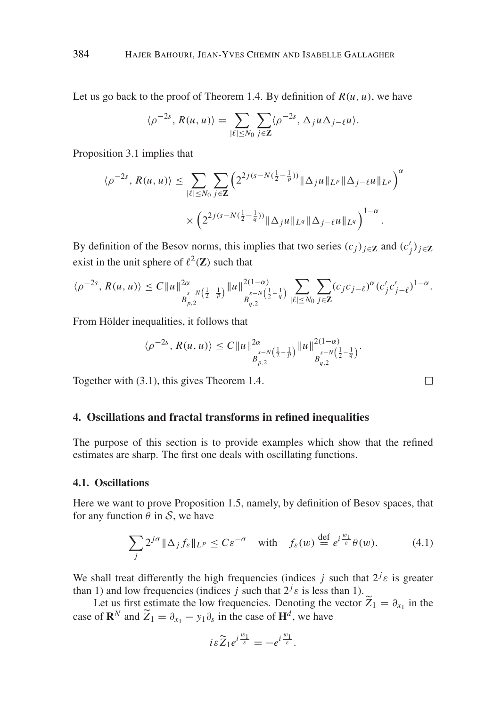Let us go back to the proof of Theorem 1.4. By definition of  $R(u, u)$ , we have

$$
\langle \rho^{-2s}, R(u, u) \rangle = \sum_{|\ell| \leq N_0} \sum_{j \in \mathbf{Z}} \langle \rho^{-2s}, \Delta_j u \Delta_{j-\ell} u \rangle.
$$

Proposition 3.1 implies that

$$
\langle \rho^{-2s}, R(u, u) \rangle \leq \sum_{|\ell| \leq N_0} \sum_{j \in \mathbb{Z}} \left( 2^{2j(s - N(\frac{1}{2} - \frac{1}{p}))} \|\Delta_j u\|_{L^p} \|\Delta_{j - \ell} u\|_{L^p} \right)^{\alpha}
$$

$$
\times \left( 2^{2j(s - N(\frac{1}{2} - \frac{1}{q}))} \|\Delta_j u\|_{L^q} \|\Delta_{j - \ell} u\|_{L^q} \right)^{1 - \alpha}.
$$

By definition of the Besov norms, this implies that two series  $(c_j)_{j \in \mathbb{Z}}$  and  $(c'_j)_{j \in \mathbb{Z}}$ exist in the unit sphere of  $\ell^2(\mathbf{Z})$  such that

$$
\langle \rho^{-2s}, R(u, u) \rangle \leq C \|u\|_{B_{p,2}^{-N\left(\frac{1}{2}-\frac{1}{p}\right)}}^{2\alpha} \|u\|_{B_{q,2}^{-N\left(\frac{1}{2}-\frac{1}{q}\right)}}^{2(1-\alpha)} \sum_{|\ell| \leq N_0} \sum_{j \in \mathbf{Z}} (c_j c_{j-\ell})^{\alpha} (c'_j c'_{j-\ell})^{1-\alpha}.
$$

From Hölder inequalities, it follows that

$$
\langle \rho^{-2s}, R(u, u) \rangle \leq C \|u\|_{B^{s-N}_{p,2}}^{2\alpha} \left(\frac{1}{2} - \frac{1}{p}\right) \|u\|_{B^{s-N}_{q,2}}^{2(1-\alpha)} \left(\frac{1}{2} - \frac{1}{q}\right).
$$

Together with (3.1), this gives Theorem 1.4.

## **4. Oscillations and fractal transforms in refined inequalities**

The purpose of this section is to provide examples which show that the refined estimates are sharp. The first one deals with oscillating functions.

#### **4.1. Oscillations**

Here we want to prove Proposition 1.5, namely, by definition of Besov spaces, that for any function  $\theta$  in  $S$ , we have

$$
\sum_{j} 2^{j\sigma} \|\Delta_j f_{\varepsilon}\|_{L^p} \le C\varepsilon^{-\sigma} \quad \text{with} \quad f_{\varepsilon}(w) \stackrel{\text{def}}{=} e^{i\frac{w_1}{\varepsilon}} \theta(w). \tag{4.1}
$$

We shall treat differently the high frequencies (indices *j* such that  $2^{j} \varepsilon$  is greater than 1) and low frequencies (indices *j* such that  $2^{j} \varepsilon$  is less than 1).

Let us first estimate the low frequencies. Denoting the vector  $\overline{Z}_1 = \partial_{x_1}$  in the case of  $\mathbf{R}^N$  and  $\widetilde{Z}_1 = \partial_{x_1} - y_1 \partial_s$  in the case of  $\mathbf{H}^d$ , we have

$$
i\varepsilon \widetilde{Z}_1 e^{i\frac{w_1}{\varepsilon}} = -e^{i\frac{w_1}{\varepsilon}}.
$$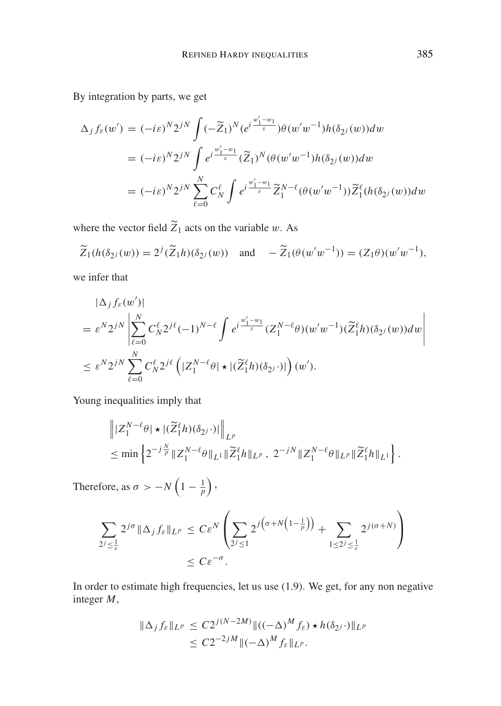By integration by parts, we get

$$
\Delta_j f_{\varepsilon}(w') = (-i\varepsilon)^N 2^{jN} \int (-\widetilde{Z}_1)^N (e^{i\frac{w'_1 - w_1}{\varepsilon}}) \theta(w'w^{-1}) h(\delta_{2j}(w)) dw
$$
  

$$
= (-i\varepsilon)^N 2^{jN} \int e^{i\frac{w'_1 - w_1}{\varepsilon}} (\widetilde{Z}_1)^N (\theta(w'w^{-1}) h(\delta_{2j}(w)) dw
$$
  

$$
= (-i\varepsilon)^N 2^{jN} \sum_{\ell=0}^N C_N^{\ell} \int e^{i\frac{w'_1 - w_1}{\varepsilon}} \widetilde{Z}_1^{N-\ell} (\theta(w'w^{-1})) \widetilde{Z}_1^{\ell} (h(\delta_{2j}(w)) dw
$$

where the vector field  $\widetilde{Z}_1$  acts on the variable w. As

$$
\widetilde{Z}_1(h(\delta_{2^j}(w))) = 2^j(\widetilde{Z}_1h)(\delta_{2^j}(w))
$$
 and  $-\widetilde{Z}_1(\theta(w'w^{-1})) = (Z_1\theta)(w'w^{-1}),$ 

we infer that

$$
\begin{split} &|\Delta_j f_{\varepsilon}(w')| \\ &=\varepsilon^N 2^{jN} \left| \sum_{\ell=0}^N C_N^\ell 2^{j\ell} (-1)^{N-\ell} \int e^{i\frac{w'_1-w_1}{\varepsilon}} (Z_1^{N-\ell}\theta)(w'w^{-1})(\widetilde{Z}_1^{\ell}h)(\delta_{2^j}(w))dw \right| \\ &\leq \varepsilon^N 2^{jN} \sum_{\ell=0}^N C_N^\ell 2^{j\ell} \left( |Z_1^{N-\ell}\theta| \star |(\widetilde{Z}_1^{\ell}h)(\delta_{2^j}\cdot)| \right)(w'). \end{split}
$$

Young inequalities imply that

$$
\| |Z_1^{N-\ell}\theta| \star |(\widetilde{Z}_1^{\ell}h)(\delta_{2^j}\cdot)|\|_{L^p}
$$
  
\n
$$
\leq \min \left\{2^{-j\frac{N}{p}} \|Z_1^{N-\ell}\theta\|_{L^1} \|\widetilde{Z}_1^{\ell}h\|_{L^p}, 2^{-jN} \|Z_1^{N-\ell}\theta\|_{L^p} \|\widetilde{Z}_1^{\ell}h\|_{L^1}\right\}.
$$

Therefore, as  $\sigma > -N\left(1-\frac{1}{p}\right)$ ,

$$
\sum_{2^{j} \leq \frac{1}{\varepsilon}} 2^{j\sigma} \|\Delta_j f_{\varepsilon}\|_{L^p} \leq C\varepsilon^N \left( \sum_{2^{j} \leq 1} 2^{j\left(\sigma + N\left(1 - \frac{1}{p}\right)\right)} + \sum_{1 \leq 2^{j} \leq \frac{1}{\varepsilon}} 2^{j(\sigma + N)} \right) \leq C\varepsilon^{-\sigma}.
$$

In order to estimate high frequencies, let us use (1.9). We get, for any non negative integer *M*,

$$
\|\Delta_j f_{\varepsilon}\|_{L^p} \le C2^{j(N-2M)} \|((-\Delta)^M f_{\varepsilon}) \star h(\delta_{2^j} \cdot) \|_{L^p}
$$
  

$$
\le C2^{-2jM} \|(-\Delta)^M f_{\varepsilon}\|_{L^p}.
$$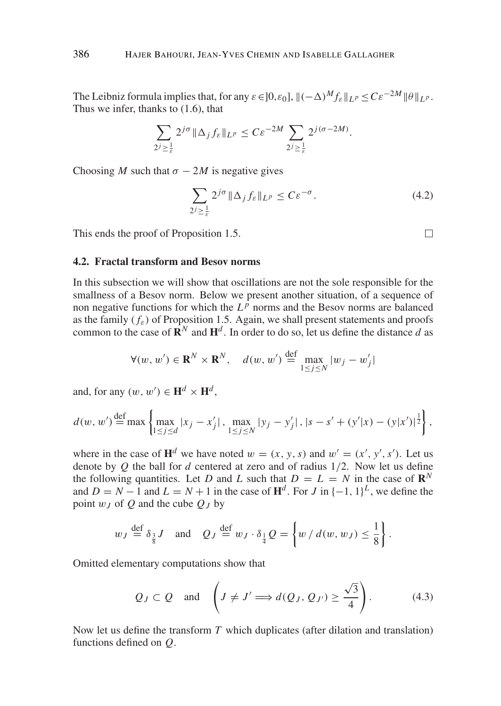The Leibniz formula implies that, for any  $\varepsilon \in ]0, \varepsilon_0]$ ,  $\|(-\Delta)^M f_{\varepsilon}\|_{L^p} \leq C \varepsilon^{-2M} \|\theta\|_{L^p}$ . Thus we infer, thanks to (1.6), that

$$
\sum_{2j\geq \frac{1}{\varepsilon}} 2^{j\sigma} \|\Delta_j f_{\varepsilon}\|_{L^p} \leq C \varepsilon^{-2M} \sum_{2j\geq \frac{1}{\varepsilon}} 2^{j(\sigma-2M)}.
$$

Choosing *M* such that  $\sigma - 2M$  is negative gives

$$
\sum_{2j \ge \frac{1}{\varepsilon}} 2^{j\sigma} \|\Delta_j f_\varepsilon\|_{L^p} \le C\varepsilon^{-\sigma}.
$$
\n(4.2)

This ends the proof of Proposition 1.5.

# $\Box$

## **4.2. Fractal transform and Besov norms**

In this subsection we will show that oscillations are not the sole responsible for the smallness of a Besov norm. Below we present another situation, of a sequence of non negative functions for which the  $L^p$  norms and the Besov norms are balanced as the family  $(f_{\varepsilon})$  of Proposition 1.5. Again, we shall present statements and proofs common to the case of  $\mathbf{R}^N$  and  $\mathbf{H}^d$ . In order to do so, let us define the distance *d* as

$$
\forall (w, w') \in \mathbf{R}^N \times \mathbf{R}^N, \quad d(w, w') \stackrel{\text{def}}{=} \max_{1 \le j \le N} |w_j - w'_j|
$$

and, for any  $(w, w') \in \mathbf{H}^d \times \mathbf{H}^d$ ,

$$
d(w, w') \stackrel{\text{def}}{=} \max \left\{ \max_{1 \le j \le d} |x_j - x'_j|, \max_{1 \le j \le N} |y_j - y'_j|, |s - s' + (y'|x) - (y|x')|^{\frac{1}{2}} \right\},\
$$

where in the case of  $\mathbf{H}^d$  we have noted  $w = (x, y, s)$  and  $w' = (x', y', s')$ . Let us denote by *Q* the ball for *d* centered at zero and of radius 1/2. Now let us define the following quantities. Let *D* and *L* such that  $D = L = N$  in the case of  $\mathbb{R}^N$ and  $D = N - 1$  and  $L = N + 1$  in the case of  $H<sup>d</sup>$ . For *J* in  $\{-1, 1\}<sup>L</sup>$ , we define the point  $w_I$  of *Q* and the cube  $Q_I$  by

$$
w_J \stackrel{\text{def}}{=} \delta_{\frac{3}{8}}J
$$
 and  $Q_J \stackrel{\text{def}}{=} w_J \cdot \delta_{\frac{1}{4}}Q = \left\{ w \mid d(w, w_J) \le \frac{1}{8} \right\}.$ 

Omitted elementary computations show that

$$
Q_J \subset Q
$$
 and  $\left(J \neq J' \Longrightarrow d(Q_J, Q_{J'}) \ge \frac{\sqrt{3}}{4}\right)$ . (4.3)

Now let us define the transform *T* which duplicates (after dilation and translation) functions defined on *Q*.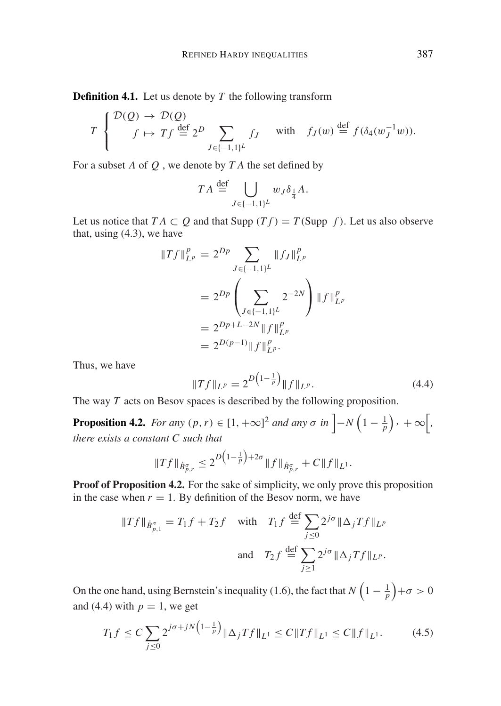**Definition 4.1.** Let us denote by *T* the following transform

$$
T\begin{cases} \mathcal{D}(\mathcal{Q}) \to \mathcal{D}(\mathcal{Q}) \\ f \mapsto Tf \stackrel{\text{def}}{=} 2^D \sum_{J \in \{-1,1\}^L} f_J \quad \text{with} \quad f_J(w) \stackrel{\text{def}}{=} f(\delta_4(w_J^{-1}w)). \end{cases}
$$

For a subset *A* of *Q* , we denote by *T A* the set defined by

$$
TA \stackrel{\text{def}}{=} \bigcup_{J \in \{-1,1\}^L} w_J \delta_{\frac{1}{4}} A.
$$

Let us notice that  $TA \subset Q$  and that Supp  $(Tf) = T$  (Supp *f*). Let us also observe that, using (4.3), we have

$$
\begin{aligned} \|Tf\|_{L^p}^p &= 2^{Dp} \sum_{J \in \{-1,1\}^L} \|f_J\|_{L^p}^p \\ &= 2^{Dp} \left(\sum_{J \in \{-1,1\}^L} 2^{-2N}\right) \|f\|_{L^p}^p \\ &= 2^{Dp + L - 2N} \|f\|_{L^p}^p \\ &= 2^{D(p-1)} \|f\|_{L^p}^p. \end{aligned}
$$

Thus, we have

$$
||Tf||_{L^{p}} = 2^{D\left(1 - \frac{1}{p}\right)} ||f||_{L^{p}}.
$$
\n(4.4)

The way *T* acts on Besov spaces is described by the following proposition.

**Proposition 4.2.** *For any*  $(p, r) \in [1, +\infty]^2$  *and any*  $\sigma$  *in*  $\left[-N\left(1-\frac{1}{p}\right), +\infty\right]$ , *there exists a constant C such that*

$$
||Tf||_{\dot{B}_{p,r}^{\sigma}} \leq 2^{D\left(1-\frac{1}{p}\right)+2\sigma} ||f||_{\dot{B}_{p,r}^{\sigma}} + C||f||_{L^{1}}.
$$

**Proof of Proposition 4.2.** For the sake of simplicity, we only prove this proposition in the case when  $r = 1$ . By definition of the Besov norm, we have

$$
\|Tf\|_{\dot{B}^{\sigma}_{p,1}} = T_1 f + T_2 f \quad \text{with} \quad T_1 f \stackrel{\text{def}}{=} \sum_{j \le 0} 2^{j\sigma} \|\Delta_j Tf\|_{L^p}
$$
  
and 
$$
T_2 f \stackrel{\text{def}}{=} \sum_{j \ge 1} 2^{j\sigma} \|\Delta_j Tf\|_{L^p}.
$$

On the one hand, using Bernstein's inequality (1.6), the fact that  $N\left(1-\frac{1}{p}\right)+\sigma>0$ and (4.4) with  $p = 1$ , we get

$$
T_1 f \le C \sum_{j \le 0} 2^{j\sigma + jN \left(1 - \frac{1}{p}\right)} \|\Delta_j T f\|_{L^1} \le C \|Tf\|_{L^1} \le C \|f\|_{L^1}.
$$
 (4.5)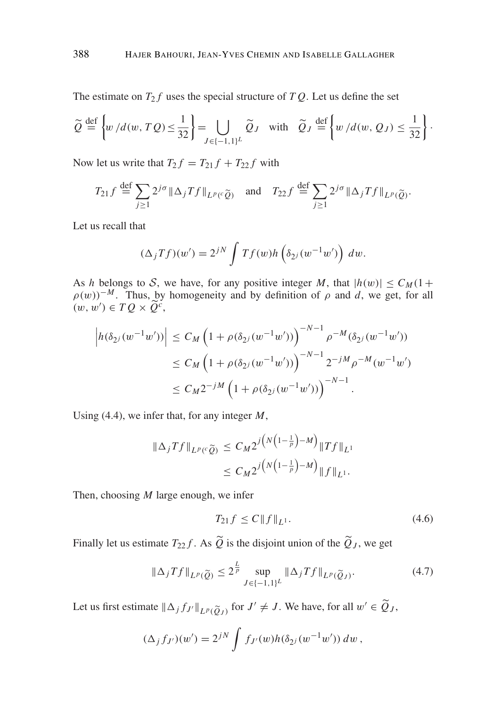The estimate on  $T_2 f$  uses the special structure of  $T Q$ . Let us define the set

$$
\widetilde{Q} \stackrel{\text{def}}{=} \left\{ w \, / d(w, TQ) \le \frac{1}{32} \right\} = \bigcup_{J \in \{-1, 1\}^L} \widetilde{Q}_J \quad \text{with} \quad \widetilde{Q}_J \stackrel{\text{def}}{=} \left\{ w \, / d(w, Q_J) \le \frac{1}{32} \right\}.
$$

Now let us write that  $T_2 f = T_{21} f + T_{22} f$  with

$$
T_{21}f \stackrel{\text{def}}{=} \sum_{j\geq 1} 2^{j\sigma} \|\Delta_j Tf\|_{L^p(\mathcal{C}\widetilde{Q})} \quad \text{and} \quad T_{22}f \stackrel{\text{def}}{=} \sum_{j\geq 1} 2^{j\sigma} \|\Delta_j Tf\|_{L^p(\widetilde{Q})}.
$$

Let us recall that

$$
(\Delta_j Tf)(w') = 2^{jN} \int Tf(w)h\left(\delta_{2^j}(w^{-1}w')\right) dw.
$$

As *h* belongs to S, we have, for any positive integer M, that  $|h(w)| \leq C_M(1 +$  $\rho(w)$ <sup>-*M*</sup>. Thus, by homogeneity and by definition of  $\rho$  and *d*, we get, for all  $(w, w') \in TQ \times \widetilde{Q}^c$ ,

$$
\left| h(\delta_{2^{j}}(w^{-1}w')) \right| \leq C_{M} \left( 1 + \rho(\delta_{2^{j}}(w^{-1}w')) \right)^{-N-1} \rho^{-M}(\delta_{2^{j}}(w^{-1}w'))
$$
  

$$
\leq C_{M} \left( 1 + \rho(\delta_{2^{j}}(w^{-1}w')) \right)^{-N-1} 2^{-jM} \rho^{-M}(w^{-1}w')
$$
  

$$
\leq C_{M} 2^{-jM} \left( 1 + \rho(\delta_{2^{j}}(w^{-1}w')) \right)^{-N-1}.
$$

Using (4.4), we infer that, for any integer *M*,

$$
\|\Delta_j Tf\|_{L^p(\mathcal{C}\widetilde{Q})} \le C_M 2^{j\big(N\big(1-\frac{1}{p}\big)-M\big)} \|Tf\|_{L^1}
$$
  

$$
\le C_M 2^{j\big(N\big(1-\frac{1}{p}\big)-M\big)} \|f\|_{L^1}.
$$

Then, choosing *M* large enough, we infer

$$
T_{21}f \le C \|f\|_{L^1}.
$$
\n(4.6)

Finally let us estimate  $T_{22}f$ . As  $Q$  is the disjoint union of the  $Q_J$ , we get

$$
\|\Delta_j Tf\|_{L^p(\widetilde{Q})} \le 2^{\frac{L}{p}} \sup_{J \in \{-1,1\}^L} \|\Delta_j Tf\|_{L^p(\widetilde{Q}_J)}.
$$
\n(4.7)

Let us first estimate  $\|\Delta_j f_{J'}\|_{L^p(\widetilde{Q}_J)}$  for  $J' \neq J$ . We have, for all  $w' \in \widetilde{Q}_J$ ,

$$
(\Delta_j f_{J'}) (w') = 2^{jN} \int f_{J'}(w) h(\delta_{2j}(w^{-1}w')) dw ,
$$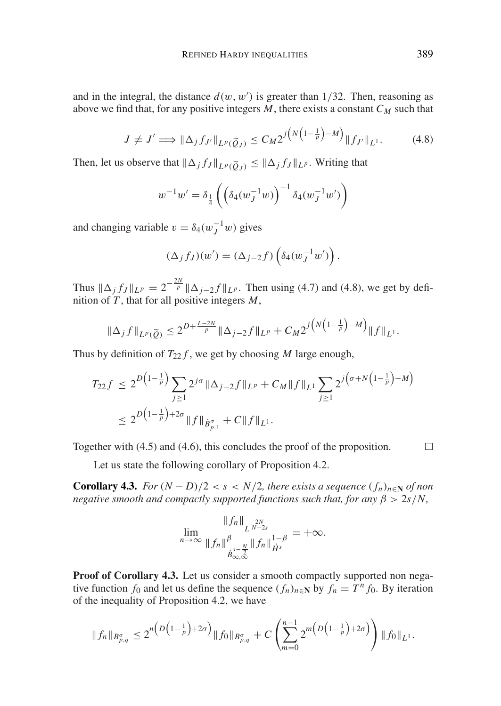and in the integral, the distance  $d(w, w')$  is greater than  $1/32$ . Then, reasoning as above we find that, for any positive integers  $M$ , there exists a constant  $C_M$  such that

$$
J \neq J' \Longrightarrow \|\Delta_j f_{J'}\|_{L^p(\widetilde{Q}_J)} \leq C_M 2^{j\left(N\left(1-\frac{1}{p}\right)-M\right)} \|f_{J'}\|_{L^1}.
$$
 (4.8)

Then, let us observe that  $\|\Delta_j f_J\|_{L^p(\widetilde{Q}_J)} \le \|\Delta_j f_J\|_{L^p}$ . Writing that

$$
w^{-1}w' = \delta_{\frac{1}{4}} \left( \left( \delta_4(w_J^{-1}w) \right)^{-1} \delta_4(w_J^{-1}w') \right)
$$

and changing variable  $v = \delta_4(w_J^{-1}w)$  gives

$$
(\Delta_j f_J)(w') = (\Delta_{j-2} f) \left( \delta_4(w_J^{-1} w') \right).
$$

Thus  $\|\Delta_j f_J\|_{L^p} = 2^{-\frac{2N}{p}} \|\Delta_{j-2} f\|_{L^p}$ . Then using (4.7) and (4.8), we get by definition of *T* , that for all positive integers *M*,

$$
\|\Delta_j f\|_{L^p(\widetilde{Q})} \le 2^{D + \frac{L-2N}{p}} \|\Delta_{j-2} f\|_{L^p} + C_M 2^{j\left(N\left(1 - \frac{1}{p}\right) - M\right)} \|f\|_{L^1}.
$$

Thus by definition of  $T_{22} f$ , we get by choosing *M* large enough,

$$
T_{22}f \le 2^{D\left(1-\frac{1}{p}\right)} \sum_{j\ge 1} 2^{j\sigma} \|\Delta_{j-2}f\|_{L^p} + C_M \|f\|_{L^1} \sum_{j\ge 1} 2^{j\left(\sigma+N\left(1-\frac{1}{p}\right)-M\right)} \\
\le 2^{D\left(1-\frac{1}{p}\right)+2\sigma} \|f\|_{\dot{B}^{\sigma}_{p,1}} + C \|f\|_{L^1}.
$$

Together with (4.5) and (4.6), this concludes the proof of the proposition.

Let us state the following corollary of Proposition 4.2.

**Corollary 4.3.** *For*  $(N - D)/2 < s < N/2$ , *there exists a sequence*  $(f_n)_{n \in \mathbb{N}}$  *of non negative smooth and compactly supported functions such that, for any*  $\beta > 2s/N$ ,

$$
\lim_{n\to\infty}\frac{\|f_n\|_{L^{\frac{2N}{N-2s}}}}{\|f_n\|_{\dot{B}^{s-\frac{N}{2}}_{\infty,\infty}}^{\beta}\|f_n\|_{\dot{H}^s}^{1-\beta}}=+\infty.
$$

**Proof of Corollary 4.3.** Let us consider a smooth compactly supported non negative function  $f_0$  and let us define the sequence  $(f_n)_{n \in \mathbb{N}}$  by  $f_n = T^n f_0$ . By iteration of the inequality of Proposition 4.2, we have

$$
\|f_n\|_{B^{\sigma}_{p,q}} \leq 2^{n\left(D\left(1-\frac{1}{p}\right)+2\sigma\right)} \|f_0\|_{B^{\sigma}_{p,q}} + C \left(\sum_{m=0}^{n-1} 2^{m\left(D\left(1-\frac{1}{p}\right)+2\sigma\right)}\right) \|f_0\|_{L^1}.
$$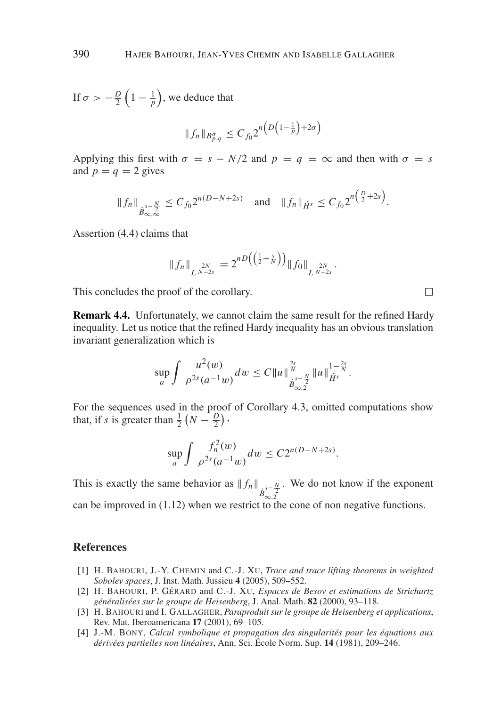If  $\sigma > -\frac{D}{2}\left(1 - \frac{1}{p}\right)$ , we deduce that

$$
||f_n||_{B_{p,q}^{\sigma}} \leq C_{f_0} 2^{n\left(D\left(1-\frac{1}{p}\right)+2\sigma\right)}
$$

Applying this first with  $\sigma = s - N/2$  and  $p = q = \infty$  and then with  $\sigma = s$ and  $p = q = 2$  gives

$$
||f_n||_{\dot{B}_{\infty,\infty}^{s-\frac{N}{2}}} \leq C_{f_0} 2^{n(D-N+2s)} \quad \text{and} \quad ||f_n||_{\dot{H}^s} \leq C_{f_0} 2^{n\left(\frac{D}{2}+2s\right)}.
$$

Assertion (4.4) claims that

$$
\|f_n\|_{L^{\frac{2N}{N-2s}}} = 2^{nD\left(\left(\frac{1}{2} + \frac{s}{N}\right)\right)} \|f_0\|_{L^{\frac{2N}{N-2s}}}.
$$

This concludes the proof of the corollary.

**Remark 4.4.** Unfortunately, we cannot claim the same result for the refined Hardy inequality. Let us notice that the refined Hardy inequality has an obvious translation invariant generalization which is

$$
\sup_{a} \int \frac{u^2(w)}{\rho^{2s}(a^{-1}w)} dw \leq C \|u\|_{\dot{B}_{\infty,2}^{s-\frac{N}{2}}}^{\frac{2s}{N}} \|u\|_{\dot{H}^s}^{1-\frac{2s}{N}}.
$$

For the sequences used in the proof of Corollary 4.3, omitted computations show that, if *s* is greater than  $\frac{1}{2}(N - \frac{D}{2})$ ,

$$
\sup_{a} \int \frac{f_n^2(w)}{\rho^{2s}(a^{-1}w)} dw \le C2^{n(D-N+2s)}.
$$

This is exactly the same behavior as  $|| f_n ||_{\substack{s^s - \frac{N}{2} \\ \mathcal{B}_{\infty,2}}}$ . We do not know if the exponent can be improved in (1.12) when we restrict to the cone of non negative functions.

## **References**

- [1] H. BAHOURI, J.-Y. CHEMIN and C.-J. XU, *Trace and trace lifting theorems in weighted Sobolev spaces*, J. Inst. Math. Jussieu **4** (2005), 509–552.
- [2] H. BAHOURI, P. GÉRARD and C.-J. XU, *Espaces de Besov et estimations de Strichartz gen´ eralis ´ ees sur le groupe de Heisenberg ´* , J. Anal. Math. **82** (2000), 93–118.
- [3] H. BAHOURI and I. GALLAGHER, *Paraproduit sur le groupe de Heisenberg et applications*, Rev. Mat. Iberoamericana **17** (2001), 69–105.
- [4] J.-M. BONY, *Calcul symbolique et propagation des singularites pour les ´ equations aux ´ deriv ´ ees partielles non lin ´ eaires ´* , Ann. Sci. Ecole Norm. Sup. ´ **14** (1981), 209–246.